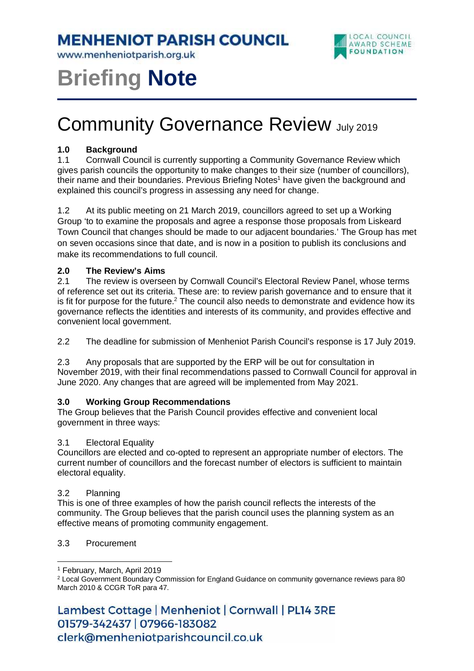**MENHENIOT PARISH COUNCIL** 

www.menheniotparish.org.uk



# **Briefing Note**

# Community Governance Review July 2019

# **1.0 Background**

1.1 Cornwall Council is currently supporting a Community Governance Review which gives parish councils the opportunity to make changes to their size (number of councillors), their name and their boundaries. Previous Briefing Notes<sup>1</sup> have given the background and explained this council's progress in assessing any need for change.

1.2 At its public meeting on 21 March 2019, councillors agreed to set up a Working Group 'to to examine the proposals and agree a response those proposals from Liskeard Town Council that changes should be made to our adjacent boundaries.' The Group has met on seven occasions since that date, and is now in a position to publish its conclusions and make its recommendations to full council.

# **2.0 The Review's Aims**

2.1 The review is overseen by Cornwall Council's Electoral Review Panel, whose terms of reference set out its criteria. These are: to review parish governance and to ensure that it is fit for purpose for the future.<sup>2</sup> The council also needs to demonstrate and evidence how its governance reflects the identities and interests of its community, and provides effective and convenient local government.

2.2 The deadline for submission of Menheniot Parish Council's response is 17 July 2019.

2.3 Any proposals that are supported by the ERP will be out for consultation in November 2019, with their final recommendations passed to Cornwall Council for approval in June 2020. Any changes that are agreed will be implemented from May 2021.

# **3.0 Working Group Recommendations**

The Group believes that the Parish Council provides effective and convenient local government in three ways:

#### 3.1 Electoral Equality

Councillors are elected and co-opted to represent an appropriate number of electors. The current number of councillors and the forecast number of electors is sufficient to maintain electoral equality.

#### 3.2 Planning

This is one of three examples of how the parish council reflects the interests of the community. The Group believes that the parish council uses the planning system as an effective means of promoting community engagement.

#### 3.3 Procurement

 $\overline{a}$ 

Lambest Cottage | Menheniot | Cornwall | PL14 3RE 01579-342437 | 07966-183082 clerk@menheniotparishcouncil.co.uk

<sup>1</sup> February, March, April 2019

<sup>2</sup> Local Government Boundary Commission for England Guidance on community governance reviews para 80 March 2010 & CCGR ToR para 47.